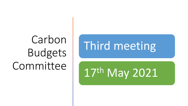## Carbon Budgets Committee

# Third meeting

17th May 2021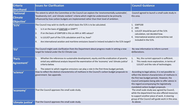| <b>Criteria</b><br><b>Shorthand</b>       | <b>Issues for Clarification</b>                                                                                                                                                                                                                                                                                                                                     | <b>Council Guidance</b>                                                                                                                                                                                                                                                                      |
|-------------------------------------------|---------------------------------------------------------------------------------------------------------------------------------------------------------------------------------------------------------------------------------------------------------------------------------------------------------------------------------------------------------------------|----------------------------------------------------------------------------------------------------------------------------------------------------------------------------------------------------------------------------------------------------------------------------------------------|
| 'National<br><b>Climate</b><br>Objective' | The extent to which the Committee or the Council can explore the 'environmentally sustainable',<br>'biodiversity rich', and 'climate resilient' criteria which might be understood to be primarily<br>influenced by how carbon budgets are implemented rather than their level of ambition.                                                                         | Council agreed to launch a small scale study in<br>this area.                                                                                                                                                                                                                                |
| '51%'                                     | The Council may wish to clarify on which basis the 51% is to be calculated.<br>1.<br>Is it on the basis of GWP100 or GWP*?<br>If on the basis of GWP100 is this on AR4 or AR5 values?<br>2.<br>Is LULUCF part of the 51% calculation and if so, how?<br>3.<br>Are international aviation and maritime emissions based in Ireland included in the 51% target?<br>Ι4. | 1. GWP100<br>2. AR5<br>LULUCF should be part of the 51%<br>3.<br>calculation, not decided how.<br>International aviation and maritime not<br>$\mathbf{4}$<br>included in the 51%.                                                                                                            |
| 'EU'                                      | The Council might seek clarification from the Department about progress made in setting a new<br>target for Ireland under the EU Climate Law.                                                                                                                                                                                                                       | No new information to inform current<br>deliberations.                                                                                                                                                                                                                                       |
| 'Paris<br>Agreement'                      | Whether the references to sustainable development, equity and the eradication of poverty<br>1.<br>entail any additional analysis beyond the examination of the 'economy' and 'climate justice'<br>criteria below.<br>The extent to which negative emissions can play a role in the first three budget periods.<br>2.                                                | Yes, the current approach is sufficient.<br>$\overline{1}$ .<br>This needs more exploration, in terms of<br>2.<br>LULUCF and the role of technologies.                                                                                                                                       |
| 'science'                                 | How to reflect the distinct characteristics of methane in the Council's carbon budget proposals to<br>government. See appendix.                                                                                                                                                                                                                                     | According to legal advice, it is not possible to<br>reflect the distinct characteristics of methane in<br>the first two budget periods. However, the<br>Council anticipates being able to offer advice in<br>this regard accompanying the legislatively<br>mandated carbon budget proposals. |
| 'economy'                                 | That the Council approves the small scale study.                                                                                                                                                                                                                                                                                                                    | The small scale study was agreed by Council,<br>while the department has also offered resources<br>to support another piece of work. A steering<br>group of the Council will guide work in this area.                                                                                        |
| 'climate justice'                         | That the Council approves the small scale study.                                                                                                                                                                                                                                                                                                                    | As above.                                                                                                                                                                                                                                                                                    |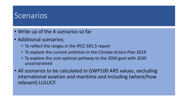### **Scenarios**

- Write up of the 4 scenarios so far
- Additional scenarios;
	- To reflect the ranges in the IPCC SR1.5 report
	- To explore the current ambition in the Climate Action Plan 2019
	- To explore the cost-optimal pathway to the 2050 goal with 2030 unconstrained
- All scenarios to be calculated in GWP100 AR5 values, excluding international aviation and maritime and including (where/how relevant) LULUCF.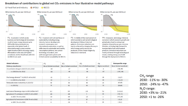#### Breakdown of contributions to global net CO<sub>2</sub> emissions in four illustrative model pathways

Final energy demand\*\* in 2030 (% rel to 2010)

Land area of bioenergy crops in 2050 (million km<sup>2</sup>)

Agricultural CH<sub>4</sub> emissions in 2030 (% rel to 2010)

Agricultural N2O emissions in 2030 (% rel to 2010)

in 2050 (% rel to 2010)

in 2050 (% rel to 2010)

Renewable share in electricity in 2030 (%)

 $\frac{1}{2}$  in 2050 (% rel to 2010)

 $\ln 2050$  (%)



 $-5$ 

 $\overline{2}$ 

58

81

 $0.9$ 

 $-48$ 

 $-69$ 

 $-26$ 

 $-26$ 

 $-15$ 

 $-32$ 

60

77

 $0.2$ 

 $-24$ 

 $-33$ 

 $5<sup>5</sup>$ 

6

17

21

48

63

2.8

 $\mathbf{1}$ 

 $-23$ 

15

 $\mathbf 0$ 

39

44

25

70

 $7.2$ 

14

 $\overline{2}$ 

 $\overline{3}$ 

39

 $(-12,7)$ 

 $(-11, 22)$  $(47, 65)$ 

 $(69, 86)$ 

 $(1.5, 3.2)$ 

 $(-30,-11)$  $(-47,-24)$ 

 $(-21,3)$ 

 $(-26,1)$ 

 $CH<sub>4</sub>$  range 2030: -11% to -30% 2050: -24% to -47%  $N<sub>2</sub>O$  range: 2030: +3% to -21%  $2050: +1$  to  $-26\%$